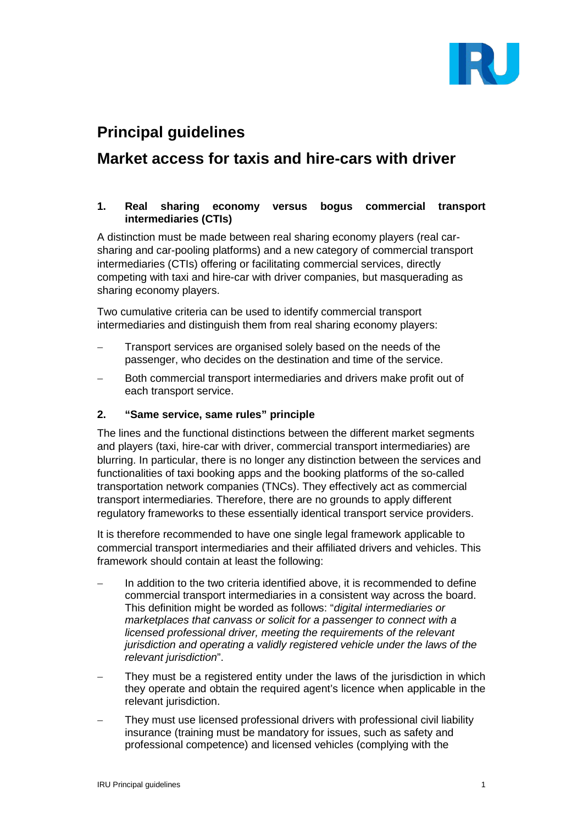

# **Principal guidelines**

## **Market access for taxis and hire-cars with driver**

#### **1. Real sharing economy versus bogus commercial transport intermediaries (CTIs)**

A distinction must be made between real sharing economy players (real carsharing and car-pooling platforms) and a new category of commercial transport intermediaries (CTIs) offering or facilitating commercial services, directly competing with taxi and hire-car with driver companies, but masquerading as sharing economy players.

Two cumulative criteria can be used to identify commercial transport intermediaries and distinguish them from real sharing economy players:

- Transport services are organised solely based on the needs of the passenger, who decides on the destination and time of the service.
- Both commercial transport intermediaries and drivers make profit out of each transport service.

#### **2. "Same service, same rules" principle**

The lines and the functional distinctions between the different market segments and players (taxi, hire-car with driver, commercial transport intermediaries) are blurring. In particular, there is no longer any distinction between the services and functionalities of taxi booking apps and the booking platforms of the so-called transportation network companies (TNCs). They effectively act as commercial transport intermediaries. Therefore, there are no grounds to apply different regulatory frameworks to these essentially identical transport service providers.

It is therefore recommended to have one single legal framework applicable to commercial transport intermediaries and their affiliated drivers and vehicles. This framework should contain at least the following:

- In addition to the two criteria identified above, it is recommended to define commercial transport intermediaries in a consistent way across the board. This definition might be worded as follows: "*digital intermediaries or marketplaces that canvass or solicit for a passenger to connect with a licensed professional driver, meeting the requirements of the relevant jurisdiction and operating a validly registered vehicle under the laws of the relevant jurisdiction*".
- They must be a registered entity under the laws of the jurisdiction in which they operate and obtain the required agent's licence when applicable in the relevant jurisdiction.
- They must use licensed professional drivers with professional civil liability insurance (training must be mandatory for issues, such as safety and professional competence) and licensed vehicles (complying with the